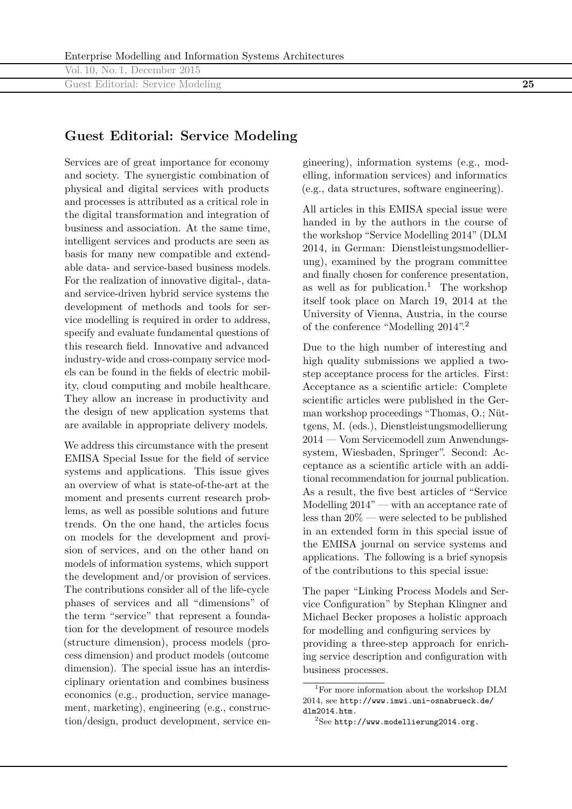Vol. 10, No. 1, December 2015 Guest Editorial: Service Modeling **25**

## **Guest Editorial: Service Modeling**

Services are of great importance for economy and society. The synergistic combination of physical and digital services with products and processes is attributed as a critical role in the digital transformation and integration of business and association. At the same time, intelligent services and products are seen as basis for many new compatible and extendable data- and service-based business models. For the realization of innovative digital-, dataand service-driven hybrid service systems the development of methods and tools for service modelling is required in order to address, specify and evaluate fundamental questions of this research field. Innovative and advanced industry-wide and cross-company service models can be found in the fields of electric mobility, cloud computing and mobile healthcare. They allow an increase in productivity and the design of new application systems that are available in appropriate delivery models.

We address this circumstance with the present EMISA Special Issue for the field of service systems and applications. This issue gives an overview of what is state-of-the-art at the moment and presents current research problems, as well as possible solutions and future trends. On the one hand, the articles focus on models for the development and provision of services, and on the other hand on models of information systems, which support the development and/or provision of services. The contributions consider all of the life-cycle phases of services and all "dimensions" of the term "service" that represent a foundation for the development of resource models (structure dimension), process models (process dimension) and product models (outcome dimension). The special issue has an interdisciplinary orientation and combines business economics (e.g., production, service management, marketing), engineering (e.g., construction/design, product development, service en-

gineering), information systems (e.g., modelling, information services) and informatics (e.g., data structures, software engineering).

All articles in this EMISA special issue were handed in by the authors in the course of the workshop "Service Modelling 2014" (DLM 2014, in German: Dienstleistungsmodellierung), examined by the program committee and finally chosen for conference presentation, as well as for publication.<sup>1</sup> The workshop itself took place on March 19, 2014 at the University of Vienna, Austria, in the course of the conference "Modelling 2014".2

Due to the high number of interesting and high quality submissions we applied a twostep acceptance process for the articles. First: Acceptance as a scientific article: Complete scientific articles were published in the German workshop proceedings "Thomas, O.; Nüttgens, M. (eds.), Dienstleistungsmodellierung 2014 — Vom Servicemodell zum Anwendungssystem, Wiesbaden, Springer". Second: Acceptance as a scientific article with an additional recommendation for journal publication. As a result, the five best articles of "Service Modelling 2014" — with an acceptance rate of less than 20% — were selected to be published in an extended form in this special issue of the EMISA journal on service systems and applications. The following is a brief synopsis of the contributions to this special issue:

The paper "Linking Process Models and Service Configuration" by Stephan Klingner and Michael Becker proposes a holistic approach for modelling and configuring services by providing a three-step approach for enriching service description and configuration with business processes.

<sup>&</sup>lt;sup>1</sup>For more information about the workshop DLM 2014, see http://www.imwi.uni-osnabrueck.de/ dlm2014.htm.

 $2$ See http://www.modellierung2014.org.